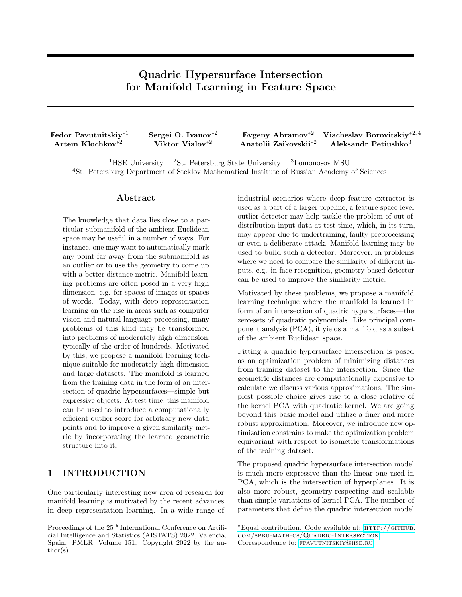# Quadric Hypersurface Intersection for Manifold Learning in Feature Space

Fedor Pavutnitskiy∗<sup>1</sup> Artem Klochkov∗<sup>2</sup>

Sergei O. Ivanov∗<sup>2</sup> Viktor Vialov∗<sup>2</sup>

Evgeny Abramov∗<sup>2</sup> Anatolii Zaikovskii∗<sup>2</sup> Viacheslav Borovitskiy<sup>\*2,4</sup> Aleksandr Petiushko $3$ 

<sup>1</sup>HSE University <sup>2</sup>St. Petersburg State University <sup>3</sup>Lomonosov MSU <sup>4</sup>St. Petersburg Department of Steklov Mathematical Institute of Russian Academy of Sciences

#### Abstract

The knowledge that data lies close to a particular submanifold of the ambient Euclidean space may be useful in a number of ways. For instance, one may want to automatically mark any point far away from the submanifold as an outlier or to use the geometry to come up with a better distance metric. Manifold learning problems are often posed in a very high dimension, e.g. for spaces of images or spaces of words. Today, with deep representation learning on the rise in areas such as computer vision and natural language processing, many problems of this kind may be transformed into problems of moderately high dimension, typically of the order of hundreds. Motivated by this, we propose a manifold learning technique suitable for moderately high dimension and large datasets. The manifold is learned from the training data in the form of an intersection of quadric hypersurfaces—simple but expressive objects. At test time, this manifold can be used to introduce a computationally efficient outlier score for arbitrary new data points and to improve a given similarity metric by incorporating the learned geometric structure into it.

# 1 INTRODUCTION

One particularly interesting new area of research for manifold learning is motivated by the recent advances in deep representation learning. In a wide range of industrial scenarios where deep feature extractor is used as a part of a larger pipeline, a feature space level outlier detector may help tackle the problem of out-ofdistribution input data at test time, which, in its turn, may appear due to undertraining, faulty preprocessing or even a deliberate attack. Manifold learning may be used to build such a detector. Moreover, in problems where we need to compare the similarity of different inputs, e.g. in face recognition, geometry-based detector can be used to improve the similarity metric.

Motivated by these problems, we propose a manifold learning technique where the manifold is learned in form of an intersection of quadric hypersurfaces—the zero-sets of quadratic polynomials. Like principal component analysis (PCA), it yields a manifold as a subset of the ambient Euclidean space.

Fitting a quadric hypersurface intersection is posed as an optimization problem of minimizing distances from training dataset to the intersection. Since the geometric distances are computationally expensive to calculate we discuss various approximations. The simplest possible choice gives rise to a close relative of the kernel PCA with quadratic kernel. We are going beyond this basic model and utilize a finer and more robust approximation. Moreover, we introduce new optimization constrains to make the optimization problem equivariant with respect to isometric transformations of the training dataset.

The proposed quadric hypersurface intersection model is much more expressive than the linear one used in PCA, which is the intersection of hyperplanes. It is also more robust, geometry-respecting and scalable than simple variations of kernel PCA. The number of parameters that define the quadric intersection model

Proceedings of the  $25^{\text{th}}$  International Conference on Artificial Intelligence and Statistics (AISTATS) 2022, Valencia, Spain. PMLR: Volume 151. Copyright 2022 by the author(s).

<sup>∗</sup>Equal contribution. Code available at: [http://github.](http://github.com/spbu-math-cs/Quadric-Intersection) [com/spbu-math-cs/Quadric-Intersection](http://github.com/spbu-math-cs/Quadric-Intersection). Correspondence to: FPAVUTNITSKIY@HSE.RU.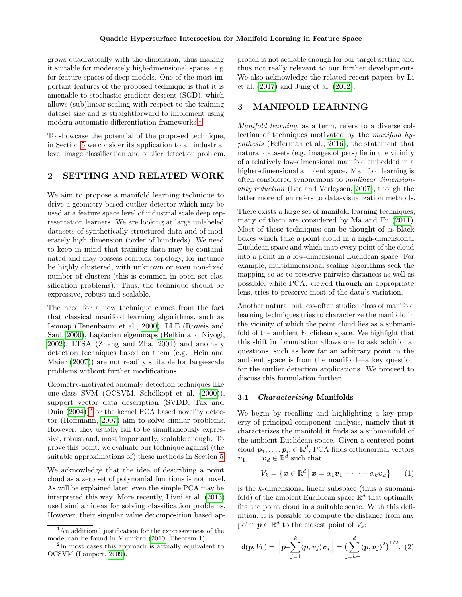<span id="page-1-4"></span>grows quadratically with the dimension, thus making it suitable for moderately high-dimensional spaces, e.g. for feature spaces of deep models. One of the most important features of the proposed technique is that it is amenable to stochastic gradient descent (SGD), which allows (sub)linear scaling with respect to the training dataset size and is straightforward to implement using modern automatic differentiation frameworks.<sup>[1](#page-1-0)</sup>

To showcase the potential of the proposed technique, in Section [5](#page-5-0) we consider its application to an industrial level image classification and outlier detection problem.

# 2 SETTING AND RELATED WORK

We aim to propose a manifold learning technique to drive a geometry-based outlier detector which may be used at a feature space level of industrial scale deep representation learners. We are looking at large unlabeled datasets of synthetically structured data and of moderately high dimension (order of hundreds). We need to keep in mind that training data may be contaminated and may possess complex topology, for instance be highly clustered, with unknown or even non-fixed number of clusters (this is common in open set classification problems). Thus, the technique should be expressive, robust and scalable.

The need for a new technique comes from the fact that classical manifold learning algorithms, such as Isomap (Tenenbaum et al., [2000\)](#page-9-0), LLE (Roweis and Saul, [2000\)](#page-9-1), Laplacian eigenmaps (Belkin and Niyogi, [2002\)](#page-8-0), LTSA (Zhang and Zha, [2004\)](#page-9-2) and anomaly detection techniques based on them (e.g. Hein and Maier [\(2007\)](#page-8-1)) are not readily suitable for large-scale problems without further modifications.

Geometry-motivated anomaly detection techniques like one-class SVM (OCSVM, Schölkopf et al. [\(2000\)](#page-9-3)), support vector data description (SVDD, Tax and Duin  $(2004)$ <sup>[2](#page-1-1)</sup> or the kernel PCA based novelity detector (Hoffmann, [2007\)](#page-8-2) aim to solve similar problems. However, they usually fail to be simultaneously expressive, robust and, most importantly, scalable enough. To prove this point, we evaluate our technique against (the suitable approximations of) these methods in Section [5.](#page-5-0)

We acknowledge that the idea of describing a point cloud as a zero set of polynomial functions is not novel. As will be explained later, even the simple PCA may be interpreted this way. More recently, Livni et al. [\(2013\)](#page-9-5) used similar ideas for solving classification problems. However, their singular value decomposition based approach is not scalable enough for our target setting and thus not really relevant to our further developments. We also acknowledge the related recent papers by Li et al. [\(2017\)](#page-9-8) and Jung et al. [\(2012\)](#page-8-3).

# 3 MANIFOLD LEARNING

Manifold learning, as a term, refers to a diverse collection of techniques motivated by the manifold hypothesis (Fefferman et al., [2016\)](#page-8-4), the statement that natural datasets (e.g. images of pets) lie in the vicinity of a relatively low-dimensional manifold embedded in a higher-dimensional ambient space. Manifold learning is often considered synonymous to nonlinear dimensionality reduction (Lee and Verleysen, [2007\)](#page-9-9), though the latter more often refers to data-visualization methods.

There exists a large set of manifold learning techniques, many of them are considered by Ma and Fu [\(2011\)](#page-9-10). Most of these techniques can be thought of as black boxes which take a point cloud in a high-dimensional Euclidean space and which map every point of the cloud into a point in a low-dimensional Euclidean space. For example, multidimensional scaling algorithms seek the mapping so as to preserve pairwise distances as well as possible, while PCA, viewed through an appropriate lens, tries to preserve most of the data's variation.

Another natural but less-often studied class of manifold learning techniques tries to characterize the manifold in the vicinity of which the point cloud lies as a submanifold of the ambient Euclidean space. We highlight that this shift in formulation allows one to ask additional questions, such as how far an arbitrary point in the ambient space is from the manifold—a key question for the outlier detection applications. We proceed to discuss this formulation further.

#### 3.1 Characterizing Manifolds

We begin by recalling and highlighting a key property of principal component analysis, namely that it characterizes the manifold it finds as a submanifold of the ambient Euclidean space. Given a centered point cloud  $\boldsymbol{p}_1,\ldots,\boldsymbol{p}_n\in\mathbb{R}^d,$  PCA finds orthonormal vectors  $\boldsymbol{v}_1, \ldots, \boldsymbol{v}_d \in \mathbb{R}^d$  such that

<span id="page-1-2"></span>
$$
V_k = \left\{ \boldsymbol{x} \in \mathbb{R}^d \, \big| \, \boldsymbol{x} = \alpha_1 \boldsymbol{v}_1 + \dots + \alpha_k \boldsymbol{v}_k \right\} \qquad (1)
$$

is the k-dimensional linear subspace (thus a submanifold) of the ambient Euclidean space  $\mathbb{R}^d$  that optimally fits the point cloud in a suitable sense. With this definition, it is possible to compute the distance from any point  $p \in \mathbb{R}^d$  to the closest point of  $V_k$ :

<span id="page-1-3"></span>
$$
\mathbf{d}(\boldsymbol{p}, V_k) = \left\| \boldsymbol{p} - \sum_{j=1}^k \langle \boldsymbol{p}, \boldsymbol{v}_j \rangle \boldsymbol{v}_j \right\| = \left( \sum_{j=k+1}^d \langle \boldsymbol{p}, \boldsymbol{v}_j \rangle^2 \right)^{1/2}, (2)
$$

<span id="page-1-0"></span><sup>&</sup>lt;sup>1</sup>An additional justification for the expressiveness of the model can be found in Mumford [\(2010,](#page-9-6) Theorem 1).

<span id="page-1-1"></span><sup>&</sup>lt;sup>2</sup>In most cases this approach is actually equivalent to OCSVM (Lampert, [2009\)](#page-9-7).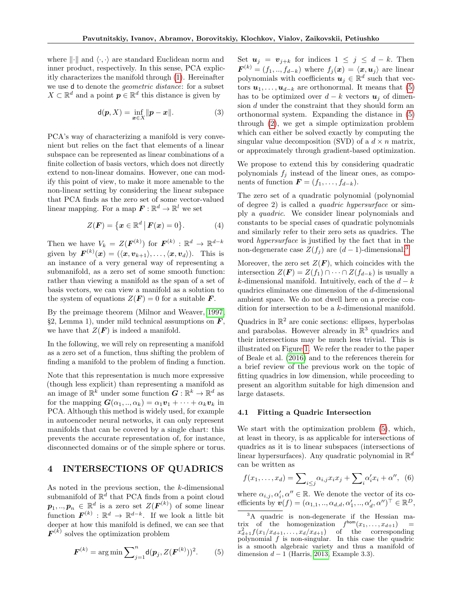<span id="page-2-4"></span>where  $\lVert \cdot \rVert$  and  $\langle \cdot, \cdot \rangle$  are standard Euclidean norm and inner product, respectively. In this sense, PCA explicitly characterizes the manifold through [\(1\)](#page-1-2). Hereinafter we use d to denote the geometric distance: for a subset  $X \subset \mathbb{R}^d$  and a point  $p \in \mathbb{R}^d$  this distance is given by

$$
\mathsf{d}(\boldsymbol{p}, X) = \inf_{\boldsymbol{x} \in X} \|\boldsymbol{p} - \boldsymbol{x}\|.\tag{3}
$$

PCA's way of characterizing a manifold is very convenient but relies on the fact that elements of a linear subspace can be represented as linear combinations of a finite collection of basis vectors, which does not directly extend to non-linear domains. However, one can modify this point of view, to make it more amenable to the non-linear setting by considering the linear subspace that PCA finds as the zero set of some vector-valued linear mapping. For a map  $\boldsymbol{F} : \mathbb{R}^d \to \mathbb{R}^l$  we set

$$
Z(\boldsymbol{F}) = \{ \boldsymbol{x} \in \mathbb{R}^d \, | \, \boldsymbol{F}(\boldsymbol{x}) = 0 \}.
$$
 (4)

Then we have  $V_k = Z(\boldsymbol{F}^{(k)})$  for  $\boldsymbol{F}^{(k)} : \mathbb{R}^d \to \mathbb{R}^{d-k}$ given by  $\boldsymbol{F}^{(k)}(\boldsymbol{x}) = (\langle \boldsymbol{x}, \boldsymbol{v}_{k+1} \rangle, \dots, \langle \boldsymbol{x}, \boldsymbol{v}_d \rangle).$  This is an instance of a very general way of representing a submanifold, as a zero set of some smooth function: rather than viewing a manifold as the span of a set of basis vectors, we can view a manifold as a solution to the system of equations  $Z(F) = 0$  for a suitable F.

By the preimage theorem (Milnor and Weaver, [1997,](#page-9-11) §2, Lemma 1), under mild technical assumptions on  $\bm{F}$ , we have that  $Z(F)$  is indeed a manifold.

In the following, we will rely on representing a manifold as a zero set of a function, thus shifting the problem of finding a manifold to the problem of finding a function.

Note that this representation is much more expressive (though less explicit) than representing a manifold as an image of  $\mathbb{R}^k$  under some function  $\mathbf{G} : \mathbb{R}^k \to \mathbb{R}^d$  as for the mapping  $G(\alpha_1, \ldots, \alpha_k) = \alpha_1 v_1 + \cdots + \alpha_k v_k$  in PCA. Although this method is widely used, for example in autoencoder neural networks, it can only represent manifolds that can be covered by a single chart: this prevents the accurate representation of, for instance, disconnected domains or of the simple sphere or torus.

# 4 INTERSECTIONS OF QUADRICS

As noted in the previous section, the k-dimensional submanifold of  $\mathbb{R}^{\overline{d}}$  that PCA finds from a point cloud  $\boldsymbol{p}_1, \dots, \boldsymbol{p}_n \in \mathbb{R}^d$  is a zero set  $Z(\boldsymbol{F}^{(k)})$  of some linear function  $\mathbf{F}^{(k)} : \mathbb{R}^d \to \mathbb{R}^{d-k}$ . If we look a little bit deeper at how this manifold is defined, we can see that  $\mathbf{F}^{(k)}$  solves the optimization problem

<span id="page-2-0"></span>
$$
F^{(k)} = \arg \min \sum_{j=1}^{n} d(p_j, Z(F^{(k)}))^2.
$$
 (5)

Set  $u_j = v_{j+k}$  for indices  $1 \leq j \leq d-k$ . Then  $\boldsymbol{F}^{(k)} = (f_1,..,f_{d-k})$  where  $f_j(\boldsymbol{x}) = \langle \boldsymbol{x},\boldsymbol{u}_j \rangle$  are linear polynomials with coefficients  $u_j \in \mathbb{R}^d$  such that vectors  $u_1, \ldots, u_{d-k}$  are orthonormal. It means that [\(5\)](#page-2-0) has to be optimized over  $d - k$  vectors  $u_j$  of dimension d under the constraint that they should form an orthonormal system. Expanding the distance in [\(5\)](#page-2-0) through [\(2\)](#page-1-3), we get a simple optimization problem which can either be solved exactly by computing the singular value decomposition (SVD) of a  $d \times n$  matrix, or approximately through gradient-based optimization.

We propose to extend this by considering quadratic polynomials  $f_j$  instead of the linear ones, as components of function  $\mathbf{F} = (f_1, \ldots, f_{d-k}).$ 

The zero set of a quadratic polynomial (polynomial of degree 2) is called a quadric hypersurface or simply a quadric. We consider linear polynomials and constants to be special cases of quadratic polynomials and similarly refer to their zero sets as quadrics. The word hypersurface is justified by the fact that in the non-degenerate case  $Z(f_i)$  are  $(d-1)$ -dimensional.<sup>[3](#page-2-1)</sup>

Moreover, the zero set  $Z(F)$ , which coincides with the intersection  $Z(\mathbf{F}) = Z(f_1) \cap \cdots \cap Z(f_{d-k})$  is usually a k-dimensional manifold. Intuitively, each of the  $d - k$ quadrics eliminates one dimension of the d-dimensional ambient space. We do not dwell here on a precise condition for intersection to be a k-dimensional manifold.

Quadrics in  $\mathbb{R}^2$  are conic sections: ellipses, hyperbolas and parabolas. However already in  $\mathbb{R}^3$  quadrics and their intersections may be much less trivial. This is illustrated on Figure [1.](#page-3-0) We refer the reader to the paper of Beale et al. [\(2016\)](#page-8-5) and to the references therein for a brief review of the previous work on the topic of fitting quadrics in low dimension, while proceeding to present an algorithm suitable for high dimension and large datasets.

#### <span id="page-2-3"></span>4.1 Fitting a Quadric Intersection

We start with the optimization problem [\(5\)](#page-2-0), which, at least in theory, is as applicable for intersections of quadrics as it is to linear subspaces (intersections of linear hypersurfaces). Any quadratic polynomial in  $\mathbb{R}^d$ can be written as

<span id="page-2-2"></span>
$$
f(x_1,...,x_d) = \sum_{i \le j} \alpha_{i,j} x_i x_j + \sum_i \alpha'_i x_i + \alpha'', \quad (6)
$$

where  $\alpha_{i,j}, \alpha'_i, \alpha'' \in \mathbb{R}$ . We denote the vector of its coefficients by  $\mathbf{v}(f) = (\alpha_{1,1}, ..., \alpha_{d,d}, \alpha'_1, ..., \alpha'_d, \alpha'')^\top \in \mathbb{R}^D$ ,

<span id="page-2-1"></span><sup>3</sup>A quadric is non-degenerate if the Hessian matrix of the homogenization  $f^{\text{hom}}(x_1,\ldots,x_{d+1})$  =  $x_{d+1}^2 f(x_1/x_{d+1}, \ldots, x_d/x_{d+1})$  of the corresponding polynomial  $f$  is non-singular. In this case the quadric is a smooth algebraic variety and thus a manifold of dimension  $d-1$  (Harris, [2013,](#page-8-6) Example 3.3).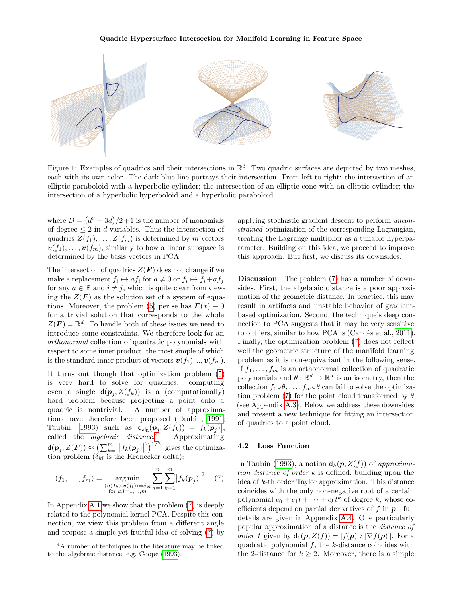<span id="page-3-3"></span><span id="page-3-0"></span>

Figure 1: Examples of quadrics and their intersections in  $\mathbb{R}^3$ . Two quadric surfaces are depicted by two meshes, each with its own color. The dark blue line portrays their intersection. From left to right: the intersection of an elliptic paraboloid with a hyperbolic cylinder; the intersection of an elliptic cone with an elliptic cylinder; the intersection of a hyperbolic hyperboloid and a hyperbolic paraboloid.

where  $D = (d^2 + 3d)/2 + 1$  is the number of monomials of degree  $\leq 2$  in d variables. Thus the intersection of quadrics  $Z(f_1), \ldots, Z(f_m)$  is determined by m vectors  $\mathbf{v}(f_1), \ldots, \mathbf{v}(f_m)$ , similarly to how a linear subspace is determined by the basis vectors in PCA.

The intersection of quadrics  $Z(F)$  does not change if we make a replacement  $f_i \mapsto af_i$  for  $a \neq 0$  or  $f_i \mapsto f_i + af_j$ for any  $a \in \mathbb{R}$  and  $i \neq j$ , which is quite clear from viewing the  $Z(\mathbf{F})$  as the solution set of a system of equa-tions. Moreover, the problem [\(5\)](#page-2-0) per se has  $\mathbf{F}(x) \equiv 0$ for a trivial solution that corresponds to the whole  $Z(\mathbf{F}) = \mathbb{R}^d$ . To handle both of these issues we need to introduce some constraints. We therefore look for an orthonormal collection of quadratic polynomials with respect to some inner product, the most simple of which is the standard inner product of vectors  $\mathbf{v}(f_1), \ldots, \mathbf{v}(f_m)$ .

It turns out though that optimization problem [\(5\)](#page-2-0) is very hard to solve for quadrics: computing even a single  $d(p_j, Z(f_k))$  is a (computationally) hard problem because projecting a point onto a quadric is nontrivial. A number of approximations have therefore been proposed (Taubin, [1991;](#page-9-12) Taubin, [1993\)](#page-9-13) such as  $d_{\text{alg}}(\boldsymbol{p}_j, Z(f_k)) := |f_k(\boldsymbol{p}_j)|,$ called the *algebraic* distance.<sup>[4](#page-3-1)</sup> Approximating  $\mathsf{d}(\bm{p}_j,Z(\bm{F})) \approx \left(\sum_{k=1}^m \bigl|f_k(\bm{p}_j)\bigr|^2\right)^{1/2}$ , gives the optimization problem  $(\delta_{kl}$  is the Kronecker delta):

<span id="page-3-2"></span>
$$
(f_1, \ldots, f_m) = \underset{\substack{\langle \mathbf{v}(f_k), \mathbf{v}(f_l) \rangle = \delta_{kl} \\ \text{for } k, l = 1, \ldots, m}}{\arg \min} \sum_{j=1}^n \sum_{k=1}^m \left| f_k(\mathbf{p}_j) \right|^2.
$$
 (7)

In Appendix [A.1](#page-10-0) we show that the problem [\(7\)](#page-3-2) is deeply related to the polynomial kernel PCA. Despite this connection, we view this problem from a different angle and propose a simple yet fruitful idea of solving [\(7\)](#page-3-2) by applying stochastic gradient descent to perform unconstrained optimization of the corresponding Lagrangian, treating the Lagrange multiplier as a tunable hyperparameter. Building on this idea, we proceed to improve this approach. But first, we discuss its downsides.

Discussion The problem [\(7\)](#page-3-2) has a number of downsides. First, the algebraic distance is a poor approximation of the geometric distance. In practice, this may result in artifacts and unstable behavior of gradientbased optimization. Second, the technique's deep connection to PCA suggests that it may be very sensitive to outliers, similar to how PCA is (Candès et al., [2011\)](#page-8-8). Finally, the optimization problem [\(7\)](#page-3-2) does not reflect well the geometric structure of the manifold learning problem as it is non-equivariant in the following sense. If  $f_1, \ldots, f_m$  is an orthonormal collection of quadratic polynomials and  $\theta : \mathbb{R}^d \to \mathbb{R}^d$  is an isometry, then the collection  $f_1 \circ \theta, \ldots, f_m \circ \theta$  can fail to solve the optimiza-tion problem [\(7\)](#page-3-2) for the point cloud transformed by  $\theta$ (see Appendix [A.3\)](#page-11-0). Below we address these downsides and present a new technique for fitting an intersection of quadrics to a point cloud.

#### 4.2 Loss Function

In Taubin [\(1993\)](#page-9-13), a notion  $d_k(p, Z(f))$  of approximation distance of order  $k$  is defined, building upon the idea of k-th order Taylor approximation. This distance coincides with the only non-negative root of a certain polynomial  $c_0 + c_1 t + \cdots + c_k t^k$  of degree k, whose coefficients depend on partial derivatives of f in  $p$ —full details are given in Appendix [A.4.](#page-11-1) One particularly popular approximation of a distance is the distance of order 1 given by  $d_1(p, Z(f)) = |f(p)|/||\nabla f(p)||$ . For a quadratic polynomial  $f$ , the  $k$ -distance coincides with the 2-distance for  $k \geq 2$ . Moreover, there is a simple

<span id="page-3-1"></span><sup>4</sup>A number of techniques in the literature may be linked to the algebraic distance, e.g. Coope [\(1993\)](#page-8-7).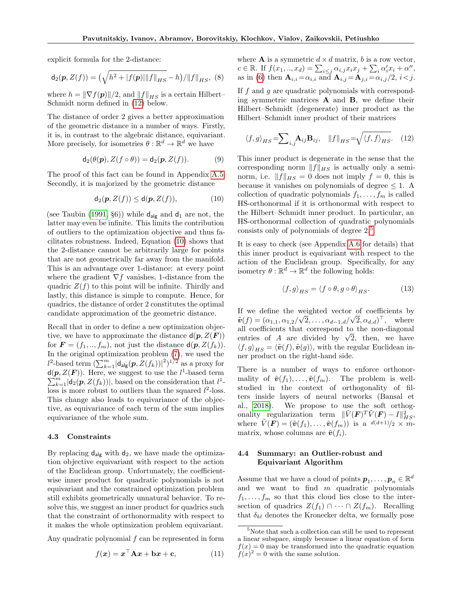<span id="page-4-4"></span>explicit formula for the 2-distance:

$$
\mathsf{d}_2(\mathbf{p}, Z(f)) = \left(\sqrt{h^2 + |f(\mathbf{p})| \|f\|_{HS}} - h\right) / \|f\|_{HS}, \tag{8}
$$

where  $h = \|\nabla f(\mathbf{p})\|/2$ , and  $\|f\|_{HS}$  is a certain Hilbert– Schmidt norm defined in [\(12\)](#page-4-0) below.

The distance of order 2 gives a better approximation of the geometric distance in a number of ways. Firstly, it is, in contrast to the algebraic distance, equivariant. More precisely, for isometries  $\theta : \mathbb{R}^d \to \mathbb{R}^d$  we have

$$
\mathsf{d}_2(\theta(\mathbf{p}), Z(f \circ \theta)) = \mathsf{d}_2(\mathbf{p}, Z(f)). \tag{9}
$$

The proof of this fact can be found in Appendix [A.5.](#page-12-0) Secondly, it is majorized by the geometric distance

<span id="page-4-1"></span>
$$
\mathsf{d}_2(\boldsymbol{p}, Z(f)) \leq \mathsf{d}(\boldsymbol{p}, Z(f)),\tag{10}
$$

(see Taubin [\(1991,](#page-9-12) §6)) while  $d_{\mathsf{alg}}$  and  $d_1$  are not, the latter may even be infinite. This limits the contribution of outliers to the optimization objective and thus facilitates robustness. Indeed, Equation [\(10\)](#page-4-1) shows that the 2-distance cannot be arbitrarily large for points that are not geometrically far away from the manifold. This is an advantage over 1-distance: at every point where the gradient  $\nabla f$  vanishes, 1-distance from the quadric  $Z(f)$  to this point will be infinite. Thirdly and lastly, this distance is simple to compute. Hence, for quadrics, the distance of order 2 constitutes the optimal candidate approximation of the geometric distance.

Recall that in order to define a new optimization objective, we have to approximate the distance  $d(p, Z(F))$ for  $\mathbf{F} = (f_1, ..., f_m)$ , not just the distance  $\mathsf{d}(\mathbf{p}, Z(f_k))$ . In the original optimization problem [\(7\)](#page-3-2), we used the  $l^2$ -based term  $\left(\sum_{k=1}^m |d_{\text{alg}}(p, Z(f_k))|^2\right)^{1/2}$  as a proxy for  $d(\mathbf{p}, Z(\mathbf{F}))$ . Here, we suggest to use the  $l^1$ -based term  $\sum_{k=1}^{m} |\mathsf{d}_2(\mathbf{p}, Z(f_k))|$ , based on the consideration that  $l^1$ loss is more robust to outliers than the squared  $l^2$ -loss. This change also leads to equivariance of the objective, as equivariance of each term of the sum implies equivariance of the whole sum.

#### 4.3 Constraints

By replacing  $d_{alg}$  with  $d_2$ , we have made the optimization objective equivariant with respect to the action of the Euclidean group. Unfortunately, the coefficientwise inner product for quadratic polynomials is not equivariant and the constrained optimization problem still exhibits geometrically unnatural behavior. To resolve this, we suggest an inner product for quadrics such that the constraint of orthonormality with respect to it makes the whole optimization problem equivariant.

Any quadratic polynomial  $f$  can be represented in form

<span id="page-4-5"></span>
$$
f(x) = x^{\top} A x + b x + c,
$$
 (11)

where **A** is a symmetric  $d \times d$  matrix, b is a row vector,  $c \in \mathbb{R}$ . If  $f(x_1, ..., x_d) = \sum_{i \leq j} \alpha_{i,j} x_i x_j + \sum_i \alpha'_i x_i + \alpha'',$ as in [\(6\)](#page-2-2) then  $\mathbf{A}_{i,i} = \alpha_{i,i}$  and  $\mathbf{A}_{i,j} = \mathbf{A}_{j,i} = \alpha_{i,j}/2, i < j$ . If  $f$  and  $g$  are quadratic polynomials with correspond-

ing symmetric matrices A and B, we define their Hilbert–Schmidt (degenerate) inner product as the Hilbert–Schmidt inner product of their matrices

<span id="page-4-0"></span>
$$
\langle f, g \rangle_{HS} = \sum_{i,j} \mathbf{A}_{ij} \mathbf{B}_{ij}, \quad ||f||_{HS} = \sqrt{\langle f, f \rangle_{HS}}. \tag{12}
$$

This inner product is degenerate in the sense that the corresponding norm  $||f||_{HS}$  is actually only a seminorm, i.e.  $||f||_{HS} = 0$  does not imply  $f = 0$ , this is because it vanishes on polynomials of degree  $\leq 1$ . A collection of quadratic polynomials  $f_1, \ldots, f_m$  is called HS-orthonormal if it is orthonormal with respect to the Hilbert–Schmidt inner product. In particular, an HS-orthonormal collection of quadratic polynomials consists only of polynomials of degree 2.[5](#page-4-2)

It is easy to check (see Appendix [A.6](#page-12-1) for details) that this inner product is equivariant with respect to the action of the Euclidean group. Specifically, for any isometry  $\theta : \mathbb{R}^d \to \mathbb{R}^d$  the following holds:

$$
\langle f, g \rangle_{HS} = \langle f \circ \theta, g \circ \theta \rangle_{HS}.
$$
 (13)

If we define the weighted vector of coefficients by  $\tilde{\boldsymbol{v}}(f) = (\alpha_{1,1}, \alpha_{1,2}/\sqrt{2}, \ldots, \alpha_{d-1,d}/\sqrt{2}, \alpha_{d,d})^{\top}, \quad \text{where}$ all coefficients that correspond to the non-diagonal all coefficients that correspond to the non-diagonal<br>entries of A are divided by  $\sqrt{2}$ , then, we have  $\langle f, g \rangle_{HS} = \langle \tilde{\boldsymbol{v}}(f), \tilde{\boldsymbol{v}}(g) \rangle$ , with the regular Euclidean inner product on the right-hand side.

There is a number of ways to enforce orthonormality of  $\tilde{\boldsymbol{v}}(f_1), \ldots, \tilde{\boldsymbol{v}}(f_m)$ . The problem is wellstudied in the context of orthogonality of filters inside layers of neural networks (Bansal et al., [2018\)](#page-8-9). We propose to use the soft orthogonality regularization term  $\|\tilde{V}(\boldsymbol{F})^T\tilde{V}(\boldsymbol{F}) - I\|_{HS}^2$ , where  $V(\mathbf{F}) = (\tilde{\mathbf{v}}(f_1), \dots, \tilde{\mathbf{v}}(f_m))$  is a  $d(d+1)/2 \times m$ matrix, whose columns are  $\tilde{\boldsymbol{v}}(f_i)$ .

### <span id="page-4-3"></span>4.4 Summary: an Outlier-robust and Equivariant Algorithm

Assume that we have a cloud of points  $\boldsymbol{p}_1,\ldots,\boldsymbol{p}_n\in\mathbb{R}^d$ and we want to find  $m$  quadratic polynomials  $f_1, \ldots, f_m$  so that this cloud lies close to the intersection of quadrics  $Z(f_1) \cap \cdots \cap Z(f_m)$ . Recalling that  $\delta_{kl}$  denotes the Kronecker delta, we formally pose

<span id="page-4-2"></span><sup>5</sup>Note that such a collection can still be used to represent a linear subspace, simply because a linear equation of form  $f(x) = 0$  may be transformed into the quadratic equation  $f(x)^2 = 0$  with the same solution.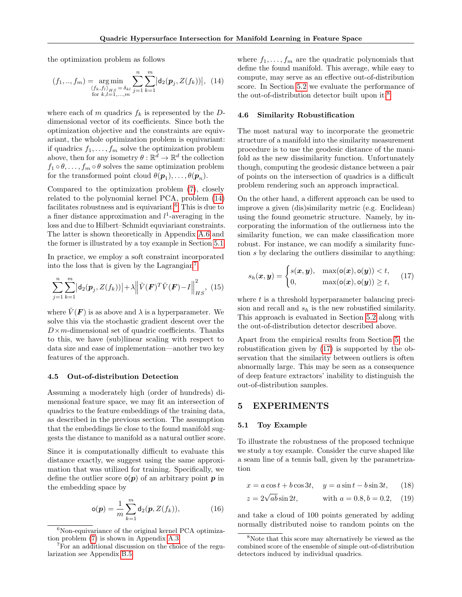the optimization problem as follows

<span id="page-5-1"></span>
$$
(f_1,..,f_m) = \underset{\substack{\langle f_k, f_l \rangle_{HS} = \delta_{kl} \\ \text{for } k,l=1,...,m}}{\arg \min} \sum_{j=1}^n \sum_{k=1}^m \left| \mathbf{d}_2(\mathbf{p}_j, Z(f_k)) \right|, (14)
$$

where each of m quadrics  $f_k$  is represented by the Ddimensional vector of its coefficients. Since both the optimization objective and the constraints are equivariant, the whole optimization problem is equivariant: if quadrics  $f_1, \ldots, f_m$  solve the optimization problem above, then for any isometry  $\theta : \mathbb{R}^d \to \mathbb{R}^d$  the collection  $f_1 \circ \theta, \ldots, f_m \circ \theta$  solves the same optimization problem for the transformed point cloud  $\theta(\mathbf{p}_1), \dots, \theta(\mathbf{p}_n)$ .

Compared to the optimization problem [\(7\)](#page-3-2), closely related to the polynomial kernel PCA, problem [\(14\)](#page-5-1) facilitates robustness and is equivariant.<sup>[6](#page-5-2)</sup> This is due to a finer distance approximation and  $l^1$ -averaging in the loss and due to Hilbert–Schmidt equviariant constraints. The latter is shown theoretically in Appendix [A.6](#page-12-1) and the former is illustrated by a toy example in Section [5.1.](#page-5-3)

In practice, we employ a soft constraint incorporated into the loss that is given by the Lagrangian<sup>[7](#page-5-4)</sup>

<span id="page-5-8"></span>
$$
\sum_{j=1}^{n} \sum_{k=1}^{m} |d_2(\mathbf{p}_j, Z(f_k))| + \lambda \left\| \tilde{V}(\mathbf{F})^T \tilde{V}(\mathbf{F}) - I \right\|_{HS}^2, (15)
$$

where  $\tilde{V}(F)$  is as above and  $\lambda$  is a hyperparameter. We solve this via the stochastic gradient descent over the  $D \times m$ -dimensional set of quadric coefficients. Thanks to this, we have (sub)linear scaling with respect to data size and ease of implementation—another two key features of the approach.

#### 4.5 Out-of-distribution Detection

Assuming a moderately high (order of hundreds) dimensional feature space, we may fit an intersection of quadrics to the feature embeddings of the training data, as described in the previous section. The assumption that the embeddings lie close to the found manifold suggests the distance to manifold as a natural outlier score.

Since it is computationally difficult to evaluate this distance exactly, we suggest using the same approximation that was utilized for training. Specifically, we define the outlier score  $o(p)$  of an arbitrary point p in the embedding space by

$$
\mathbf{o}(\mathbf{p}) = \frac{1}{m} \sum_{k=1}^{m} \mathbf{d}_2(\mathbf{p}, Z(f_k)), \tag{16}
$$

where  $f_1, \ldots, f_m$  are the quadratic polynomials that define the found manifold. This average, while easy to compute, may serve as an effective out-of-distribution score. In Section [5.2](#page-6-0) we evaluate the performance of the out-of-distribution detector built upon it.[8](#page-5-5)

#### <span id="page-5-7"></span>4.6 Similarity Robustification

The most natural way to incorporate the geometric structure of a manifold into the similarity measurement procedure is to use the geodesic distance of the manifold as the new dissimilarity function. Unfortunately though, computing the geodesic distance between a pair of points on the intersection of quadrics is a difficult problem rendering such an approach impractical.

On the other hand, a different approach can be used to improve a given (dis)similarity metric (e.g. Euclidean) using the found geometric structure. Namely, by incorporating the information of the outlierness into the similarity function, we can make classification more robust. For instance, we can modify a similarity function s by declaring the outliers dissimilar to anything:

<span id="page-5-6"></span>
$$
s_h(\boldsymbol{x}, \boldsymbol{y}) = \begin{cases} s(\boldsymbol{x}, \boldsymbol{y}), & \max(\mathsf{o}(\boldsymbol{x}), \mathsf{o}(\boldsymbol{y})) < t, \\ 0, & \max(\mathsf{o}(\boldsymbol{x}), \mathsf{o}(\boldsymbol{y})) \ge t, \end{cases} \tag{17}
$$

where  $t$  is a threshold hyperparameter balancing precision and recall and  $s_h$  is the new robustified similarity. This approach is evaluated in Section [5.2](#page-6-0) along with the out-of-distribution detector described above.

Apart from the empirical results from Section [5,](#page-5-0) the robustification given by [\(17\)](#page-5-6) is supported by the observation that the similarity between outliers is often abnormally large. This may be seen as a consequence of deep feature extractors' inability to distinguish the out-of-distribution samples.

### <span id="page-5-0"></span>5 EXPERIMENTS

#### <span id="page-5-3"></span>5.1 Toy Example

To illustrate the robustness of the proposed technique we study a toy example. Consider the curve shaped like a seam line of a tennis ball, given by the parametrization

$$
x = a\cos t + b\cos 3t, \quad y = a\sin t - b\sin 3t, \quad (18)
$$

$$
z = 2\sqrt{ab} \sin 2t
$$
, with  $a = 0.8, b = 0.2$ , (19)

and take a cloud of 100 points generated by adding normally distributed noise to random points on the

<span id="page-5-2"></span> $6$ Non-equivariance of the original kernel PCA optimization problem [\(7\)](#page-3-2) is shown in Appendix [A.3.](#page-11-0)

<span id="page-5-4"></span><sup>7</sup>For an additional discussion on the choice of the regularization see Appendix [B.5.](#page-13-0)

<span id="page-5-5"></span><sup>8</sup>Note that this score may alternatively be viewed as the combined score of the ensemble of simple out-of-distribution detectors induced by individual quadrics.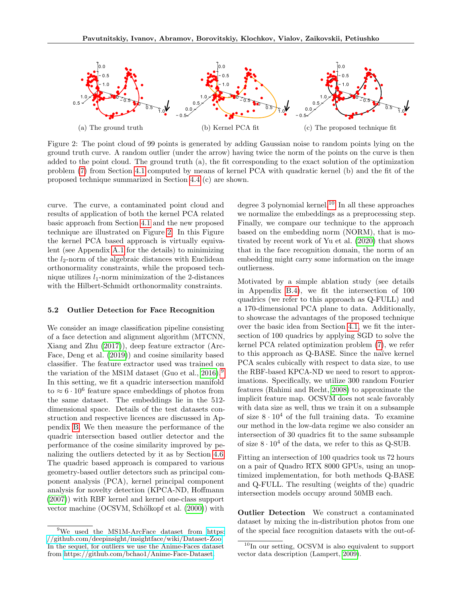<span id="page-6-4"></span><span id="page-6-1"></span>

Figure 2: The point cloud of 99 points is generated by adding Gaussian noise to random points lying on the ground truth curve. A random outlier (under the arrow) having twice the norm of the points on the curve is then added to the point cloud. The ground truth (a), the fit corresponding to the exact solution of the optimization problem [\(7\)](#page-3-2) from Section [4.1](#page-2-3) computed by means of kernel PCA with quadratic kernel (b) and the fit of the proposed technique summarized in Section [4.4](#page-4-3) (c) are shown.

curve. The curve, a contaminated point cloud and results of application of both the kernel PCA related basic approach from Section [4.1](#page-2-3) and the new proposed technique are illustrated on Figure [2.](#page-6-1) In this Figure the kernel PCA based approach is virtually equivalent (see Appendix [A.1](#page-10-0) for the details) to minimizing the  $l_2$ -norm of the algebraic distances with Euclidean orthonormality constraints, while the proposed technique utilizes  $l_1$ -norm minimization of the 2-distances with the Hilbert-Schmidt orthonormality constraints.

#### <span id="page-6-0"></span>5.2 Outlier Detection for Face Recognition

We consider an image classification pipeline consisting of a face detection and alignment algorithm (MTCNN, Xiang and Zhu [\(2017\)](#page-9-14)), deep feature extractor (Arc-Face, Deng et al. [\(2019\)](#page-8-10)) and cosine similarity based classifier. The feature extractor used was trained on the variation of the MS1M dataset (Guo et al., [2016\)](#page-8-11).<sup>[9](#page-6-2)</sup> In this setting, we fit a quadric intersection manifold to  $\approx 6 \cdot 10^6$  feature space embeddings of photos from the same dataset. The embeddings lie in the 512 dimensional space. Details of the test datasets construction and respective licences are discussed in Appendix [B.](#page-12-2) We then measure the performance of the quadric intersection based outlier detector and the performance of the cosine similarity improved by penalizing the outliers detected by it as by Section [4.6.](#page-5-7) The quadric based approach is compared to various geometry-based outlier detectors such as principal component analysis (PCA), kernel principal component analysis for novelty detection (KPCA-ND, Hoffmann [\(2007\)](#page-8-2)) with RBF kernel and kernel one-class support vector machine (OCSVM, Schölkopf et al. [\(2000\)](#page-9-3)) with degree 3 polynomial kernel.<sup>[10](#page-6-3)</sup> In all these approaches we normalize the embeddings as a preprocessing step. Finally, we compare our technique to the approach based on the embedding norm (NORM), that is motivated by recent work of Yu et al. [\(2020\)](#page-9-15) that shows that in the face recognition domain, the norm of an embedding might carry some information on the image outlierness.

Motivated by a simple ablation study (see details in Appendix [B.4\)](#page-13-1), we fit the intersection of 100 quadrics (we refer to this approach as Q-FULL) and a 170-dimensional PCA plane to data. Additionally, to showcase the advantages of the proposed technique over the basic idea from Section [4.1,](#page-2-3) we fit the intersection of 100 quadrics by applying SGD to solve the kernel PCA related optimization problem [\(7\)](#page-3-2), we refer to this approach as Q-BASE. Since the naïve kernel PCA scales cubically with respect to data size, to use the RBF-based KPCA-ND we need to resort to approximations. Specifically, we utilize 300 random Fourier features (Rahimi and Recht, [2008\)](#page-9-16) to approximate the implicit feature map. OCSVM does not scale favorably with data size as well, thus we train it on a subsample of size  $8 \cdot 10^4$  of the full training data. To examine our method in the low-data regime we also consider an intersection of 30 quadrics fit to the same subsample of size  $8 \cdot 10^4$  of the data, we refer to this as Q-SUB.

Fitting an intersection of 100 quadrics took us 72 hours on a pair of Quadro RTX 8000 GPUs, using an unoptimized implementation, for both methods Q-BASE and Q-FULL. The resulting (weights of the) quadric intersection models occupy around 50MB each.

Outlier Detection We construct a contaminated dataset by mixing the in-distribution photos from one of the special face recognition datasets with the out-of-

<span id="page-6-2"></span><sup>&</sup>lt;sup>9</sup>We used the MS1M-ArcFace dataset from [https:](https://github.com/deepinsight/insightface/wiki/Dataset-Zoo) [//github.com/deepinsight/insightface/wiki/Dataset-Zoo.](https://github.com/deepinsight/insightface/wiki/Dataset-Zoo) In the sequel, for outliers we use the Anime-Faces dataset from [https://github.com/bchao1/Anime-Face-Dataset.](https://github.com/bchao1/Anime-Face-Dataset)

<span id="page-6-3"></span> $10$ In our setting, OCSVM is also equivalent to support vector data description (Lampert, [2009\)](#page-9-7).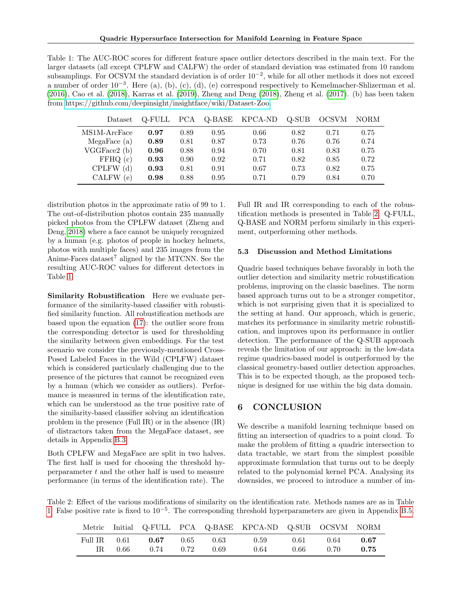<span id="page-7-2"></span><span id="page-7-0"></span>Table 1: The AUC-ROC scores for different feature space outlier detectors described in the main text. For the larger datasets (all except CPLFW and CALFW) the order of standard deviation was estimated from 10 random subsamplings. For OCSVM the standard deviation is of order  $10^{-2}$ , while for all other methods it does not exceed a number of order  $10^{-3}$ . Here (a), (b), (c), (d), (e) correspond respectively to Kemelmacher-Shlizerman et al. [\(2016\)](#page-8-12), Cao et al. [\(2018\)](#page-8-13), Karras et al. [\(2019\)](#page-8-14), Zheng and Deng [\(2018\)](#page-9-17), Zheng et al. [\(2017\)](#page-9-18). (b) has been taken from [https://github.com/deepinsight/insightface/wiki/Dataset-Zoo.](https://github.com/deepinsight/insightface/wiki/Dataset-Zoo)

| Dataset      | Q-FULL | <b>PCA</b> | Q-BASE | KPCA-ND | Q-SUB | <b>OCSVM</b> | <b>NORM</b> |
|--------------|--------|------------|--------|---------|-------|--------------|-------------|
| MS1M-ArcFace | 0.97   | 0.89       | 0.95   | 0.66    | 0.82  | 0.71         | 0.75        |
| MegaFace (a) | 0.89   | 0.81       | 0.87   | 0.73    | 0.76  | 0.76         | 0.74        |
| VGGFace2 (b) | 0.96   | 0.88       | 0.94   | 0.70    | 0.81  | 0.83         | 0.75        |
| FFHQ(c)      | 0.93   | 0.90       | 0.92   | 0.71    | 0.82  | 0.85         | 0.72        |
| CPLFW(d)     | 0.93   | 0.81       | 0.91   | 0.67    | 0.73  | 0.82         | 0.75        |
| CALFW<br>(e) | 0.98   | 0.88       | 0.95   | 0.71    | 0.79  | 0.84         | 0.70        |

distribution photos in the approximate ratio of 99 to 1. The out-of-distribution photos contain 235 manually picked photos from the CPLFW dataset (Zheng and Deng, [2018\)](#page-9-17) where a face cannot be uniquely recognized by a human (e.g. photos of people in hockey helmets, photos with multiple faces) and 235 images from the Anime-Faces dataset<sup>7</sup> aligned by the MTCNN. See the resulting AUC-ROC values for different detectors in Table [1.](#page-7-0)

Similarity Robustification Here we evaluate performance of the similarity-based classifier with robustified similarity function. All robustification methods are based upon the equation [\(17\)](#page-5-6): the outlier score from the corresponding detector is used for thresholding the similarity between given embeddings. For the test scenario we consider the previously-mentioned Cross-Posed Labeled Faces in the Wild (CPLFW) dataset which is considered particularly challenging due to the presence of the pictures that cannot be recognized even by a human (which we consider as outliers). Performance is measured in terms of the identification rate, which can be understood as the true positive rate of the similarity-based classifier solving an identification problem in the presence (Full IR) or in the absence (IR) of distractors taken from the MegaFace dataset, see details in Appendix [B.3.](#page-13-2)

Both CPLFW and MegaFace are split in two halves. The first half is used for choosing the threshold hyperparameter  $t$  and the other half is used to measure performance (in terms of the identification rate). The Full IR and IR corresponding to each of the robustification methods is presented in Table [2.](#page-7-1) Q-FULL, Q-BASE and NORM perform similarly in this experiment, outperforming other methods.

#### 5.3 Discussion and Method Limitations

Quadric based techniques behave favorably in both the outlier detection and similarity metric robustification problems, improving on the classic baselines. The norm based approach turns out to be a stronger competitor, which is not surprising given that it is specialized to the setting at hand. Our approach, which is generic, matches its performance in similarity metric robustification, and improves upon its performance in outlier detection. The performance of the Q-SUB approach reveals the limitation of our approach: in the low-data regime quadrics-based model is outperformed by the classical geometry-based outlier detection approaches. This is to be expected though, as the proposed technique is designed for use within the big data domain.

# 6 CONCLUSION

We describe a manifold learning technique based on fitting an intersection of quadrics to a point cloud. To make the problem of fitting a quadric intersection to data tractable, we start from the simplest possible approximate formulation that turns out to be deeply related to the polynomial kernel PCA. Analysing its downsides, we proceed to introduce a number of im-

<span id="page-7-1"></span>Table 2: Effect of the various modifications of similarity on the identification rate. Methods names are as in Table [1.](#page-7-0) False positive rate is fixed to 10<sup>−</sup><sup>5</sup> . The corresponding threshold hyperparameters are given in Appendix [B.5.](#page-13-0)

|              |      |               |      |      | Metric Initial Q-FULL PCA Q-BASE KPCA-ND Q-SUB OCSVM NORM |      |      |      |
|--------------|------|---------------|------|------|-----------------------------------------------------------|------|------|------|
| Full IR 0.61 |      | 0.67          | 0.65 | 0.63 | 0.59                                                      | 0.61 | 0.64 | 0.67 |
| IR.          | 0.66 | $0.74$ $0.72$ |      | 0.69 | 0.64                                                      | 0.66 | 0.70 | 0.75 |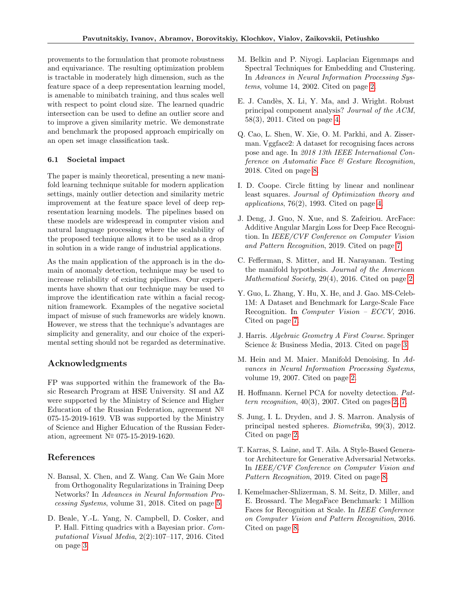provements to the formulation that promote robustness and equivariance. The resulting optimization problem is tractable in moderately high dimension, such as the feature space of a deep representation learning model, is amenable to minibatch training, and thus scales well with respect to point cloud size. The learned quadric intersection can be used to define an outlier score and to improve a given similarity metric. We demonstrate and benchmark the proposed approach empirically on an open set image classification task.

#### 6.1 Societal impact

The paper is mainly theoretical, presenting a new manifold learning technique suitable for modern application settings, mainly outlier detection and similarity metric improvement at the feature space level of deep representation learning models. The pipelines based on these models are widespread in computer vision and natural language processing where the scalability of the proposed technique allows it to be used as a drop in solution in a wide range of industrial applications.

As the main application of the approach is in the domain of anomaly detection, technique may be used to increase reliability of existing pipelines. Our experiments have shown that our technique may be used to improve the identification rate within a facial recognition framework. Examples of the negative societal impact of misuse of such frameworks are widely known. However, we stress that the technique's advantages are simplicity and generality, and our choice of the experimental setting should not be regarded as determinative.

### Acknowledgments

FP was supported within the framework of the Basic Research Program at HSE University. SI and AZ were supported by the Ministry of Science and Higher Education of the Russian Federation, agreement  $N^{\mathcal{Q}}$ 075-15-2019-1619. VB was supported by the Ministry of Science and Higher Education of the Russian Federation, agreement  $N^{\circ}$  075-15-2019-1620.

### References

- <span id="page-8-9"></span>N. Bansal, X. Chen, and Z. Wang. Can We Gain More from Orthogonality Regularizations in Training Deep Networks? In Advances in Neural Information Processing Systems, volume 31, 2018. Cited on page [5.](#page-4-4)
- <span id="page-8-5"></span>D. Beale, Y.-L. Yang, N. Campbell, D. Cosker, and P. Hall. Fitting quadrics with a Bayesian prior. Computational Visual Media, 2(2):107–117, 2016. Cited on page [3.](#page-2-4)
- <span id="page-8-0"></span>M. Belkin and P. Niyogi. Laplacian Eigenmaps and Spectral Techniques for Embedding and Clustering. In Advances in Neural Information Processing Systems, volume 14, 2002. Cited on page [2.](#page-1-4)
- <span id="page-8-8"></span>E. J. Cand`es, X. Li, Y. Ma, and J. Wright. Robust principal component analysis? Journal of the ACM, 58(3), 2011. Cited on page [4.](#page-3-3)
- <span id="page-8-13"></span>Q. Cao, L. Shen, W. Xie, O. M. Parkhi, and A. Zisserman. Vggface2: A dataset for recognising faces across pose and age. In 2018 13th IEEE International Conference on Automatic Face & Gesture Recognition, 2018. Cited on page [8.](#page-7-2)
- <span id="page-8-7"></span>I. D. Coope. Circle fitting by linear and nonlinear least squares. Journal of Optimization theory and applications,  $76(2)$ , 1993. Cited on page [4.](#page-3-3)
- <span id="page-8-10"></span>J. Deng, J. Guo, N. Xue, and S. Zafeiriou. ArcFace: Additive Angular Margin Loss for Deep Face Recognition. In IEEE/CVF Conference on Computer Vision and Pattern Recognition, 2019. Cited on page [7.](#page-6-4)
- <span id="page-8-4"></span>C. Fefferman, S. Mitter, and H. Narayanan. Testing the manifold hypothesis. Journal of the American Mathematical Society, 29(4), 2016. Cited on page [2.](#page-1-4)
- <span id="page-8-11"></span>Y. Guo, L. Zhang, Y. Hu, X. He, and J. Gao. MS-Celeb-1M: A Dataset and Benchmark for Large-Scale Face Recognition. In Computer Vision – ECCV, 2016. Cited on page [7.](#page-6-4)
- <span id="page-8-6"></span>J. Harris. Algebraic Geometry A First Course. Springer Science & Business Media, 2013. Cited on page [3.](#page-2-4)
- <span id="page-8-1"></span>M. Hein and M. Maier. Manifold Denoising. In Advances in Neural Information Processing Systems, volume 19, 2007. Cited on page [2.](#page-1-4)
- <span id="page-8-2"></span>H. Hoffmann. Kernel PCA for novelty detection. Pat $tern$  recognition,  $40(3)$ ,  $2007$ . Cited on pages [2,](#page-1-4) [7.](#page-6-4)
- <span id="page-8-3"></span>S. Jung, I. L. Dryden, and J. S. Marron. Analysis of principal nested spheres. Biometrika, 99(3), 2012. Cited on page [2.](#page-1-4)
- <span id="page-8-14"></span>T. Karras, S. Laine, and T. Aila. A Style-Based Generator Architecture for Generative Adversarial Networks. In IEEE/CVF Conference on Computer Vision and Pattern Recognition, 2019. Cited on page [8.](#page-7-2)
- <span id="page-8-12"></span>I. Kemelmacher-Shlizerman, S. M. Seitz, D. Miller, and E. Brossard. The MegaFace Benchmark: 1 Million Faces for Recognition at Scale. In IEEE Conference on Computer Vision and Pattern Recognition, 2016. Cited on page [8.](#page-7-2)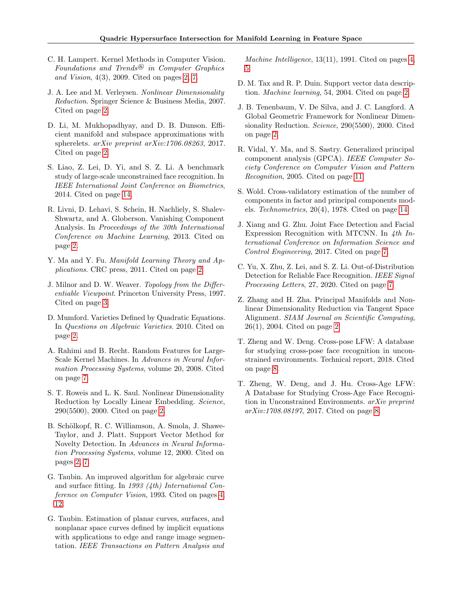- <span id="page-9-7"></span>C. H. Lampert. Kernel Methods in Computer Vision. Foundations and Trends<sup>®</sup> in Computer Graphics and Vision, 4(3), 2009. Cited on pages [2,](#page-1-4) [7.](#page-6-4)
- <span id="page-9-9"></span>J. A. Lee and M. Verleysen. Nonlinear Dimensionality Reduction. Springer Science & Business Media, 2007. Cited on page [2.](#page-1-4)
- <span id="page-9-8"></span>D. Li, M. Mukhopadhyay, and D. B. Dunson. Efficient manifold and subspace approximations with spherelets. arXiv preprint arXiv:1706.08263, 2017. Cited on page [2.](#page-1-4)
- <span id="page-9-20"></span>S. Liao, Z. Lei, D. Yi, and S. Z. Li. A benchmark study of large-scale unconstrained face recognition. In IEEE International Joint Conference on Biometrics, 2014. Cited on page [14.](#page-13-3)
- <span id="page-9-5"></span>R. Livni, D. Lehavi, S. Schein, H. Nachliely, S. Shalev-Shwartz, and A. Globerson. Vanishing Component Analysis. In Proceedings of the 30th International Conference on Machine Learning, 2013. Cited on page [2.](#page-1-4)
- <span id="page-9-10"></span>Y. Ma and Y. Fu. Manifold Learning Theory and Applications. CRC press, 2011. Cited on page [2.](#page-1-4)
- <span id="page-9-11"></span>J. Milnor and D. W. Weaver. Topology from the Differentiable Viewpoint. Princeton University Press, 1997. Cited on page [3.](#page-2-4)
- <span id="page-9-6"></span>D. Mumford. Varieties Defined by Quadratic Equations. In Questions on Algebraic Varieties. 2010. Cited on page [2.](#page-1-4)
- <span id="page-9-16"></span>A. Rahimi and B. Recht. Random Features for Large-Scale Kernel Machines. In Advances in Neural Information Processing Systems, volume 20, 2008. Cited on page [7.](#page-6-4)
- <span id="page-9-1"></span>S. T. Roweis and L. K. Saul. Nonlinear Dimensionality Reduction by Locally Linear Embedding. Science, 290(5500), 2000. Cited on page [2.](#page-1-4)
- <span id="page-9-3"></span>B. Schölkopf, R. C. Williamson, A. Smola, J. Shawe-Taylor, and J. Platt. Support Vector Method for Novelty Detection. In Advances in Neural Information Processing Systems, volume 12, 2000. Cited on pages [2,](#page-1-4) [7.](#page-6-4)
- <span id="page-9-13"></span>G. Taubin. An improved algorithm for algebraic curve and surface fitting. In 1993 (4th) International Conference on Computer Vision, 1993. Cited on pages [4,](#page-3-3) [12.](#page-11-2)
- <span id="page-9-12"></span>G. Taubin. Estimation of planar curves, surfaces, and nonplanar space curves defined by implicit equations with applications to edge and range image segmentation. IEEE Transactions on Pattern Analysis and

Machine Intelligence, 13(11), 1991. Cited on pages [4,](#page-3-3) [5.](#page-4-4)

- <span id="page-9-4"></span>D. M. Tax and R. P. Duin. Support vector data description. Machine learning, 54, 2004. Cited on page [2.](#page-1-4)
- <span id="page-9-0"></span>J. B. Tenenbaum, V. De Silva, and J. C. Langford. A Global Geometric Framework for Nonlinear Dimensionality Reduction. Science, 290(5500), 2000. Cited on page [2.](#page-1-4)
- <span id="page-9-19"></span>R. Vidal, Y. Ma, and S. Sastry. Generalized principal component analysis (GPCA). IEEE Computer Society Conference on Computer Vision and Pattern Recognition, 2005. Cited on page [11.](#page-10-1)
- <span id="page-9-21"></span>S. Wold. Cross-validatory estimation of the number of components in factor and principal components models. Technometrics, 20(4), 1978. Cited on page [14.](#page-13-3)
- <span id="page-9-14"></span>J. Xiang and G. Zhu. Joint Face Detection and Facial Expression Recognition with MTCNN. In 4th International Conference on Information Science and Control Engineering, 2017. Cited on page [7.](#page-6-4)
- <span id="page-9-15"></span>C. Yu, X. Zhu, Z. Lei, and S. Z. Li. Out-of-Distribution Detection for Reliable Face Recognition. IEEE Signal Processing Letters, 27, 2020. Cited on page [7.](#page-6-4)
- <span id="page-9-2"></span>Z. Zhang and H. Zha. Principal Manifolds and Nonlinear Dimensionality Reduction via Tangent Space Alignment. SIAM Journal on Scientific Computing, 26(1), 2004. Cited on page [2.](#page-1-4)
- <span id="page-9-17"></span>T. Zheng and W. Deng. Cross-pose LFW: A database for studying cross-pose face recognition in unconstrained environments. Technical report, 2018. Cited on page [8.](#page-7-2)
- <span id="page-9-18"></span>T. Zheng, W. Deng, and J. Hu. Cross-Age LFW: A Database for Studying Cross-Age Face Recognition in Unconstrained Environments. arXiv preprint arXiv:1708.08197, 2017. Cited on page [8.](#page-7-2)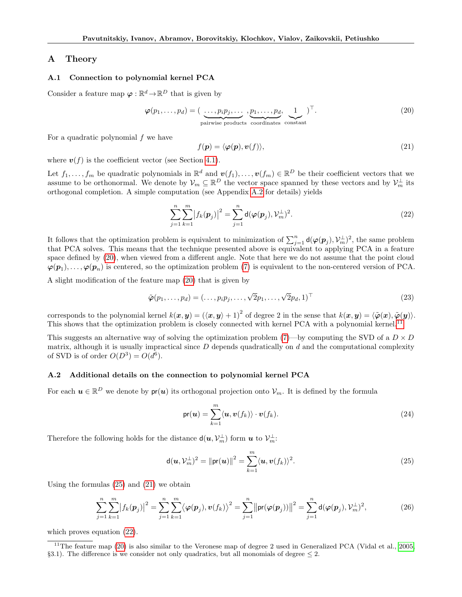### <span id="page-10-1"></span>A Theory

#### <span id="page-10-0"></span>A.1 Connection to polynomial kernel PCA

Consider a feature map  $\varphi : \mathbb{R}^d \to \mathbb{R}^D$  that is given by

<span id="page-10-3"></span>
$$
\boldsymbol{\varphi}(p_1,\ldots,p_d) = (\underbrace{\ldots,p_i p_j,\ldots}_{\text{pairwise products}} , \underbrace{p_1,\ldots,p_d}_{\text{coordinates}} , \underbrace{1}_{\text{constant}} )^{\top}.
$$
\n(20)

For a quadratic polynomial  $f$  we have

<span id="page-10-6"></span>
$$
f(\mathbf{p}) = \langle \boldsymbol{\varphi}(\mathbf{p}), \boldsymbol{v}(f) \rangle, \tag{21}
$$

where  $v(f)$  is the coefficient vector (see Section [4.1\)](#page-2-3).

Let  $f_1, \ldots, f_m$  be quadratic polynomials in  $\mathbb{R}^d$  and  $\mathbf{v}(f_1), \ldots, \mathbf{v}(f_m) \in \mathbb{R}^D$  be their coefficient vectors that we assume to be orthonormal. We denote by  $\mathcal{V}_m \subseteq \mathbb{R}^D$  the vector space spanned by these vectors and by  $\mathcal{V}_m^{\perp}$  its orthogonal completion. A simple computation (see Appendix [A.2](#page-10-2) for details) yields

<span id="page-10-7"></span>
$$
\sum_{j=1}^{n} \sum_{k=1}^{m} \left| f_k(\boldsymbol{p}_j) \right|^2 = \sum_{j=1}^{n} \mathsf{d}(\boldsymbol{\varphi}(\boldsymbol{p}_j), \mathcal{V}_m^{\perp})^2.
$$
\n(22)

It follows that the optimization problem is equivalent to minimization of  $\sum_{j=1}^n d(\varphi(\bm{p}_j), \mathcal{V}_m^{\perp})^2$ , the same problem that PCA solves. This means that the technique presented above is equivalent to applying PCA in a feature space defined by [\(20\)](#page-10-3), when viewed from a different angle. Note that here we do not assume that the point cloud  $\varphi(p_1), \ldots, \varphi(p_n)$  is centered, so the optimization problem [\(7\)](#page-3-2) is equivalent to the non-centered version of PCA.

A slight modification of the feature map [\(20\)](#page-10-3) that is given by

$$
\tilde{\boldsymbol{\varphi}}(p_1,\ldots,p_d) = (\ldots,p_ip_j,\ldots,\sqrt{2}p_1,\ldots,\sqrt{2}p_d,1)^\top
$$
\n(23)

corresponds to the polynomial kernel  $k(x, y) = (\langle x, y \rangle + 1)^2$  of degree 2 in the sense that  $k(x, y) = \langle \tilde{\varphi}(x), \tilde{\varphi}(y) \rangle$ . This shows that the optimization problem is closely connected with kernel PCA with a polynomial kernel.<sup>[11](#page-10-4)</sup>

This suggests an alternative way of solving the optimization problem [\(7\)](#page-3-2)—by computing the SVD of a  $D \times D$ matrix, although it is usually impractical since  $D$  depends quadratically on  $d$  and the computational complexity of SVD is of order  $O(D^3) = O(d^6)$ .

#### <span id="page-10-2"></span>A.2 Additional details on the connection to polynomial kernel PCA

For each  $u \in \mathbb{R}^D$  we denote by  $pr(u)$  its orthogonal projection onto  $\mathcal{V}_m$ . It is defined by the formula

$$
\mathsf{pr}(\boldsymbol{u}) = \sum_{k=1}^{m} \langle \boldsymbol{u}, \boldsymbol{v}(f_k) \rangle \cdot \boldsymbol{v}(f_k). \tag{24}
$$

Therefore the following holds for the distance  $d(u, \mathcal{V}_m^{\perp})$  form  $u$  to  $\mathcal{V}_m^{\perp}$ :

<span id="page-10-5"></span>
$$
\mathsf{d}(\boldsymbol{u},\mathcal{V}_m^{\perp})^2 = \|\mathsf{pr}(\boldsymbol{u})\|^2 = \sum_{k=1}^m \langle \boldsymbol{u}, \boldsymbol{v}(f_k) \rangle^2.
$$
 (25)

Using the formulas [\(25\)](#page-10-5) and [\(21\)](#page-10-6) we obtain

$$
\sum_{j=1}^{n} \sum_{k=1}^{m} |f_k(\mathbf{p}_j)|^2 = \sum_{j=1}^{n} \sum_{k=1}^{m} \langle \varphi(\mathbf{p}_j), \mathbf{v}(f_k) \rangle^2 = \sum_{j=1}^{n} ||\mathbf{pr}(\varphi(\mathbf{p}_j))||^2 = \sum_{j=1}^{n} d(\varphi(\mathbf{p}_j), \mathcal{V}_m^{\perp})^2,
$$
\n(26)

which proves equation [\(22\)](#page-10-7).

<span id="page-10-4"></span> $11$ The feature map [\(20\)](#page-10-3) is also similar to the Veronese map of degree 2 used in Generalized PCA (Vidal et al., [2005,](#page-9-19) §3.1). The difference is we consider not only quadratics, but all monomials of degree  $\leq 2$ .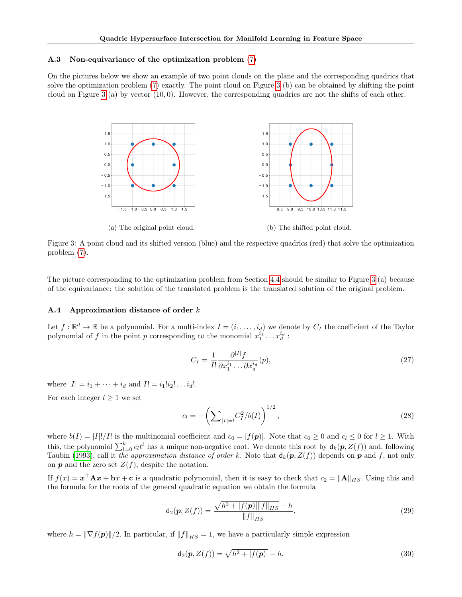#### <span id="page-11-2"></span><span id="page-11-0"></span>A.3 Non-equivariance of the optimization problem [\(7\)](#page-3-2)

<span id="page-11-3"></span>On the pictures below we show an example of two point clouds on the plane and the corresponding quadrics that solve the optimization problem [\(7\)](#page-3-2) exactly. The point cloud on Figure [3](#page-11-3) (b) can be obtained by shifting the point cloud on Figure [3](#page-11-3) (a) by vector  $(10, 0)$ . However, the corresponding quadrics are not the shifts of each other.



Figure 3: A point cloud and its shifted version (blue) and the respective quadrics (red) that solve the optimization problem [\(7\)](#page-3-2).

The picture corresponding to the optimization problem from Section [4.4](#page-4-3) should be similar to Figure [3](#page-11-3) (a) because of the equivariance: the solution of the translated problem is the translated solution of the original problem.

#### <span id="page-11-1"></span>A.4 Approximation distance of order k

Let  $f: \mathbb{R}^d \to \mathbb{R}$  be a polynomial. For a multi-index  $I = (i_1, \ldots, i_d)$  we denote by  $C_I$  the coefficient of the Taylor polynomial of f in the point p corresponding to the monomial  $x_1^{i_1} \dots x_d^{i_d}$ :

$$
C_I = \frac{1}{I!} \frac{\partial^{|I|} f}{\partial x_1^{i_1} \dots \partial x_d^{i_d}}(p),\tag{27}
$$

where  $|I| = i_1 + \cdots + i_d$  and  $I! = i_1!i_2! \ldots i_d!$ .

For each integer  $l \geq 1$  we set

$$
c_l = -\left(\sum_{|I|=l} C_I^2 / b(I)\right)^{1/2},\tag{28}
$$

where  $b(I) = |I||/I!$  is the multinomial coefficient and  $c_0 = |f(\mathbf{p})|$ . Note that  $c_0 \geq 0$  and  $c_l \leq 0$  for  $l \geq 1$ . With this, the polynomial  $\sum_{l=0}^{k} c_l t^l$  has a unique non-negative root. We denote this root by  $d_k(p, Z(f))$  and, following Taubin [\(1993\)](#page-9-13), call it the approximation distance of order k. Note that  $d_k(p, Z(f))$  depends on p and f, not only on  $p$  and the zero set  $Z(f)$ , despite the notation.

If  $f(x) = x^{\top} A x + b x + c$  is a quadratic polynomial, then it is easy to check that  $c_2 = \|A\|_{HS}$ . Using this and the formula for the roots of the general quadratic equation we obtain the formula

$$
\mathbf{d}_2(\mathbf{p}, Z(f)) = \frac{\sqrt{h^2 + |f(\mathbf{p})| ||f||_{HS} - h}}{||f||_{HS}},
$$
\n(29)

where  $h = \|\nabla f(\mathbf{p})\|/2$ . In particular, if  $\|f\|_{HS} = 1$ , we have a particularly simple expression

$$
\mathsf{d}_2(\mathbf{p}, Z(f)) = \sqrt{h^2 + |f(\mathbf{p})|} - h. \tag{30}
$$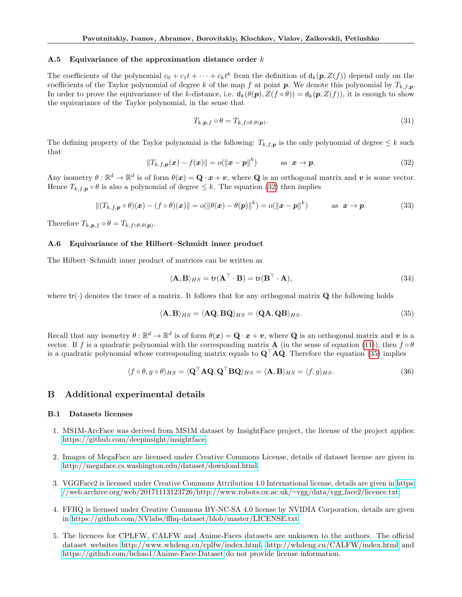#### <span id="page-12-0"></span>A.5 Equivariance of the approximation distance order  $k$

The coefficients of the polynomial  $c_0 + c_1t + \cdots + c_kt^k$  from the definition of  $d_k(p, Z(f))$  depend only on the coefficients of the Taylor polynomial of degree k of the map f at point p. We denote this polynomial by  $T_{k,f,p}$ . In order to prove the equivariance of the k-distance, i.e.  $d_k(\theta(p), Z(f \circ \theta)) = d_k(p, Z(f))$ , it is enough to show the equivariance of the Taylor polynomial, in the sense that

$$
T_{k,p,f} \circ \theta = T_{k,f \circ \theta, \theta(p)}.\tag{31}
$$

The defining property of the Taylor polynomial is the following:  $T_{k,f,p}$  is the only polynomial of degree  $\leq k$  such that

<span id="page-12-3"></span>
$$
||T_{k,f,\boldsymbol{p}}(\boldsymbol{x}) - f(\boldsymbol{x})|| = o(||\boldsymbol{x} - \boldsymbol{p}||^k) \qquad \text{as } \boldsymbol{x} \to \boldsymbol{p}.
$$
 (32)

Any isometry  $\theta : \mathbb{R}^d \to \mathbb{R}^d$  is of form  $\theta(x) = \mathbf{Q} \cdot x + v$ , where **Q** is an orthogonal matrix and v is some vector. Hence  $T_{k,f,p} \circ \theta$  is also a polynomial of degree  $\leq k$ . The equation [\(32\)](#page-12-3) then implies

$$
||(T_{k,f,\boldsymbol{p}}\circ\theta)(\boldsymbol{x})-(f\circ\theta)(\boldsymbol{x})||=o(||\theta(\boldsymbol{x})-\theta(\boldsymbol{p})||^k)=o(||\boldsymbol{x}-\boldsymbol{p}||^k) \qquad \text{as } \boldsymbol{x}\to\boldsymbol{p}.\tag{33}
$$

Therefore  $T_{k,p,f} \circ \theta = T_{k,f \circ \theta, \theta(p)}$ .

#### <span id="page-12-1"></span>A.6 Equivariance of the Hilbert–Schmidt inner product

The Hilbert–Schmidt inner product of matrices can be written as

$$
\langle \mathbf{A}, \mathbf{B} \rangle_{HS} = \text{tr}(\mathbf{A}^\top \cdot \mathbf{B}) = \text{tr}(\mathbf{B}^\top \cdot \mathbf{A}),\tag{34}
$$

where  $tr(\cdot)$  denotes the trace of a matrix. It follows that for any orthogonal matrix  $Q$  the following holds

<span id="page-12-4"></span>
$$
\langle \mathbf{A}, \mathbf{B} \rangle_{HS} = \langle \mathbf{A} \mathbf{Q}, \mathbf{B} \mathbf{Q} \rangle_{HS} = \langle \mathbf{Q} \mathbf{A}, \mathbf{Q} \mathbf{B} \rangle_{HS}.
$$
 (35)

Recall that any isometry  $\theta : \mathbb{R}^d \to \mathbb{R}^d$  is of form  $\theta(x) = \mathbf{Q} \cdot x + v$ , where **Q** is an orthogonal matrix and v is a vector. If f is a quadratic polynomial with the corresponding matrix **A** (in the sense of equation [\(11\)](#page-4-5)), then  $f \circ \theta$ is a quadratic polynomial whose corresponding matrix equals to  $\mathbf{Q}^{\top} \mathbf{A} \mathbf{Q}$ . Therefore the equation [\(35\)](#page-12-4) implies

$$
\langle f \circ \theta, g \circ \theta \rangle_{HS} = \langle \mathbf{Q}^\top \mathbf{A} \mathbf{Q}, \mathbf{Q}^\top \mathbf{B} \mathbf{Q} \rangle_{HS} = \langle \mathbf{A}, \mathbf{B} \rangle_{HS} = \langle f, g \rangle_{HS}.
$$
 (36)

#### <span id="page-12-2"></span>B Additional experimental details

#### B.1 Datasets licenses

- 1. MS1M-ArcFace was derived from MS1M dataset by InsightFace project, the license of the project applies: [https://github.com/deepinsight/insightface.](https://github.com/deepinsight/insightface)
- 2. Images of MegaFace are licensed under Creative Commons License, details of dataset license are given in [http://megaface.cs.washington.edu/dataset/download.html.](http://megaface.cs.washington.edu/dataset/download.html)
- 3. VGGFace2 is licensed under Creative Commons Attribution 4.0 International license, details are given in [https:](https://web.archive.org/web/20171113123726/http://www.robots.ox.ac.uk/~vgg/data/vgg_face2/licence.txt) [//web.archive.org/web/20171113123726/http://www.robots.ox.ac.uk/](https://web.archive.org/web/20171113123726/http://www.robots.ox.ac.uk/~vgg/data/vgg_face2/licence.txt)∼vgg/data/vgg face2/licence.txt.
- 4. FFHQ is licensed under Creative Commons BY-NC-SA 4.0 license by NVIDIA Corporation, details are given in [https://github.com/NVlabs/ffhq-dataset/blob/master/LICENSE.txt.](https://github.com/NVlabs/ffhq-dataset/blob/master/LICENSE.txt)
- 5. The licences for CPLFW, CALFW and Anime-Faces datasets are unknown to the authors. The official dataset websites [http://www.whdeng.cn/cplfw/index.html,](http://www.whdeng.cn/cplfw/index.html)<http://whdeng.cn/CALFW/index.html> and <https://github.com/bchao1/Anime-Face-Dataset> do not provide license information.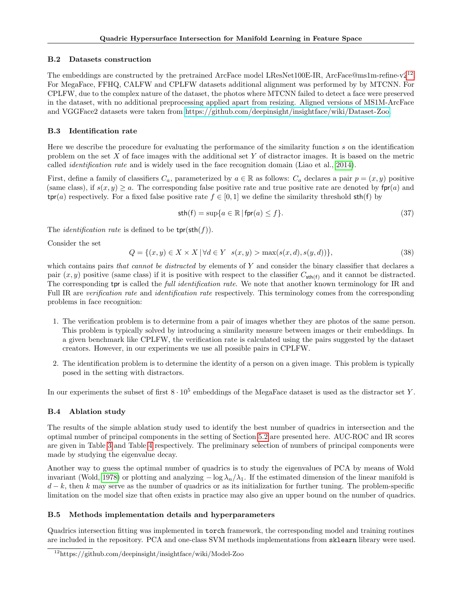## <span id="page-13-3"></span>B.2 Datasets construction

The embeddings are constructed by the pretrained ArcFace model LResNet100E-IR, ArcFace@ms1m-refine-v2<sup>[12](#page-13-4)</sup>. For MegaFace, FFHQ, CALFW and CPLFW datasets additional alignment was performed by by MTCNN. For CPLFW, due to the complex nature of the dataset, the photos where MTCNN failed to detect a face were preserved in the dataset, with no additional preprocessing applied apart from resizing. Aligned versions of MS1M-ArcFace and VGGFace2 datasets were taken from [https://github.com/deepinsight/insightface/wiki/Dataset-Zoo.](https://github.com/deepinsight/insightface/wiki/Dataset-Zoo)

# <span id="page-13-2"></span>B.3 Identification rate

Here we describe the procedure for evaluating the performance of the similarity function s on the identification problem on the set X of face images with the additional set Y of distractor images. It is based on the metric called *identification rate* and is widely used in the face recognition domain (Liao et al., [2014\)](#page-9-20).

First, define a family of classifiers  $C_a$ , parameterized by  $a \in \mathbb{R}$  as follows:  $C_a$  declares a pair  $p = (x, y)$  positive (same class), if  $s(x, y) \ge a$ . The corresponding false positive rate and true positive rate are denoted by fpr(a) and  $\text{tpr}(a)$  respectively. For a fixed false positive rate  $f \in [0,1]$  we define the similarity threshold  $\text{sth}(f)$  by

$$
\operatorname{sth}(f) = \sup\{a \in \mathbb{R} \mid \operatorname{fpr}(a) \le f\}.\tag{37}
$$

The *identification rate* is defined to be  $\text{tpr}(\text{sth}(f))$ .

Consider the set

$$
Q = \{(x, y) \in X \times X \mid \forall d \in Y \ s(x, y) > \max(s(x, d), s(y, d))\},\tag{38}
$$

which contains pairs that cannot be distracted by elements of  $Y$  and consider the binary classifier that declares a pair  $(x, y)$  positive (same class) if it is positive with respect to the classifier  $C_{\text{sth}(f)}$  and it cannot be distracted. The corresponding tpr is called the *full identification rate*. We note that another known terminology for IR and Full IR are verification rate and *identification rate* respectively. This terminology comes from the corresponding problems in face recognition:

- 1. The verification problem is to determine from a pair of images whether they are photos of the same person. This problem is typically solved by introducing a similarity measure between images or their embeddings. In a given benchmark like CPLFW, the verification rate is calculated using the pairs suggested by the dataset creators. However, in our experiments we use all possible pairs in CPLFW.
- 2. The identification problem is to determine the identity of a person on a given image. This problem is typically posed in the setting with distractors.

In our experiments the subset of first  $8 \cdot 10^5$  embeddings of the MegaFace dataset is used as the distractor set Y.

# <span id="page-13-1"></span>B.4 Ablation study

The results of the simple ablation study used to identify the best number of quadrics in intersection and the optimal number of principal components in the setting of Section [5.2](#page-6-0) are presented here. AUC-ROC and IR scores are given in Table [3](#page-14-0) and Table [4](#page-14-1) respectively. The preliminary selection of numbers of principal components were made by studying the eigenvalue decay.

Another way to guess the optimal number of quadrics is to study the eigenvalues of PCA by means of Wold invariant (Wold, [1978\)](#page-9-21) or plotting and analyzing  $-\log \lambda_n/\lambda_1$ . If the estimated dimension of the linear manifold is  $d - k$ , then k may serve as the number of quadrics or as its initialization for further tuning. The problem-specific limitation on the model size that often exists in practice may also give an upper bound on the number of quadrics.

# <span id="page-13-0"></span>B.5 Methods implementation details and hyperparameters

Quadrics intersection fitting was implemented in torch framework, the corresponding model and training routines are included in the repository. PCA and one-class SVM methods implementations from sklearn library were used.

<span id="page-13-4"></span><sup>12</sup>https://github.com/deepinsight/insightface/wiki/Model-Zoo